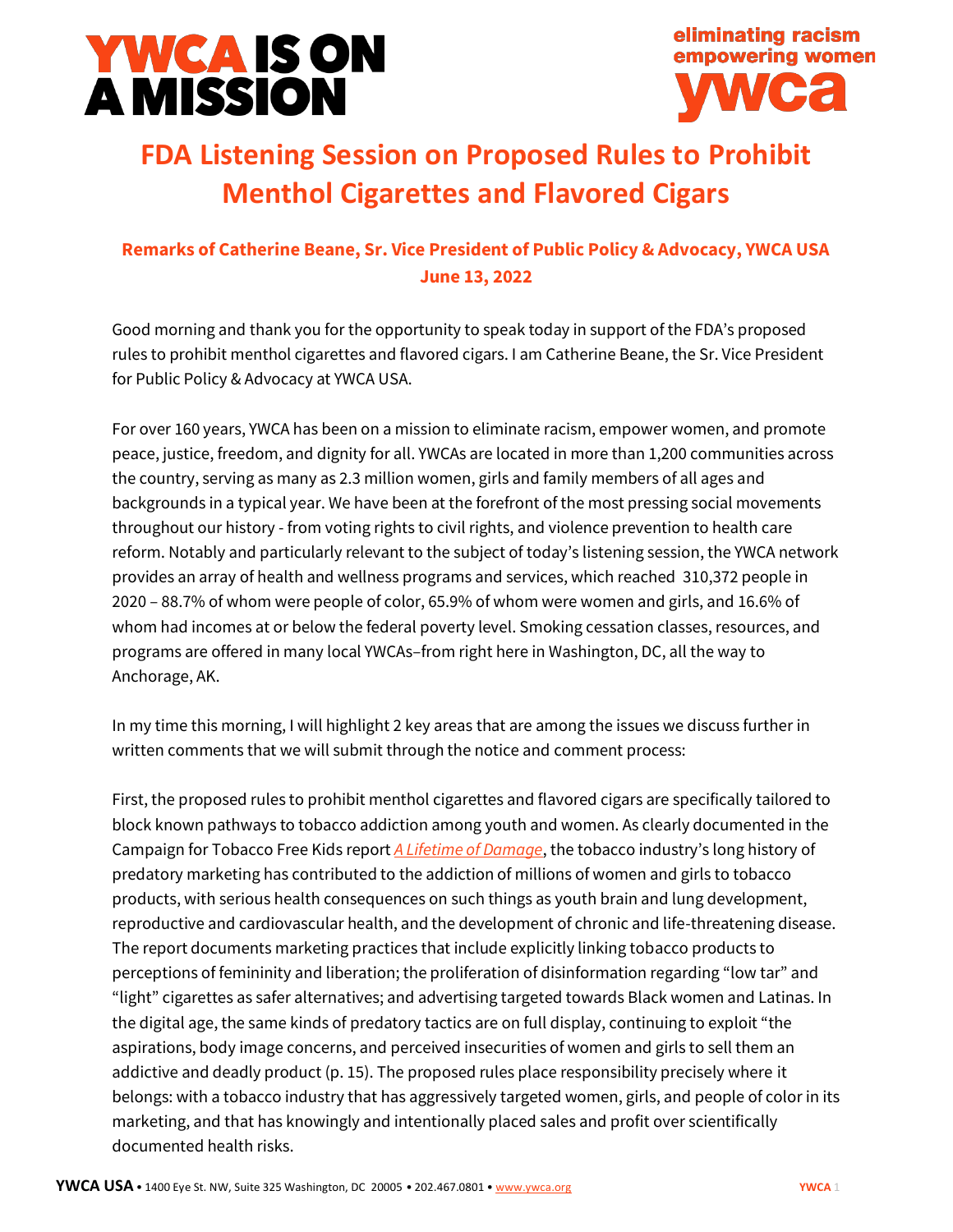



## **FDA Listening Session on Proposed Rules to Prohibit Menthol Cigarettes and Flavored Cigars**

## **Remarks of Catherine Beane, Sr. Vice President of Public Policy & Advocacy, YWCA USA June 13, 2022**

Good morning and thank you for the opportunity to speak today in support of the FDA's proposed rules to prohibit menthol cigarettes and flavored cigars. I am Catherine Beane, the Sr. Vice President for Public Policy & Advocacy at YWCA USA.

For over 160 years, YWCA has been on a mission to eliminate racism, empower women, and promote peace, justice, freedom, and dignity for all. YWCAs are located in more than 1,200 communities across the country, serving as many as 2.3 million women, girls and family members of all ages and backgrounds in a typical year. We have been at the forefront of the most pressing social movements throughout our history - from voting rights to civil rights, and violence prevention to health care reform. Notably and particularly relevant to the subject of today's listening session, the YWCA network provides an array of health and wellness programs and services, which reached 310,372 people in 2020 – 88.7% of whom were people of color, 65.9% of whom were women and girls, and 16.6% of whom had incomes at or below the federal poverty level. Smoking cessation classes, resources, and programs are offered in many local YWCAs–from right here in Washington, DC, all the way to Anchorage, AK.

In my time this morning, I will highlight 2 key areas that are among the issues we discuss further in written comments that we will submit through the notice and comment process:

First, the proposed rules to prohibit menthol cigarettes and flavored cigars are specifically tailored to block known pathways to tobacco addiction among youth and women. As clearly documented in the Campaign for Tobacco Free Kids report *[A Lifetime of Damage](https://www.tobaccofreekids.org/assets/content/press_office/2021/womens-report.pdf)*, the tobacco industry's long history of predatory marketing has contributed to the addiction of millions of women and girls to tobacco products, with serious health consequences on such things as youth brain and lung development, reproductive and cardiovascular health, and the development of chronic and life-threatening disease. The report documents marketing practices that include explicitly linking tobacco products to perceptions of femininity and liberation; the proliferation of disinformation regarding "low tar" and "light" cigarettes as safer alternatives; and advertising targeted towards Black women and Latinas. In the digital age, the same kinds of predatory tactics are on full display, continuing to exploit "the aspirations, body image concerns, and perceived insecurities of women and girls to sell them an addictive and deadly product (p. 15). The proposed rules place responsibility precisely where it belongs: with a tobacco industry that has aggressively targeted women, girls, and people of color in its marketing, and that has knowingly and intentionally placed sales and profit over scientifically documented health risks.